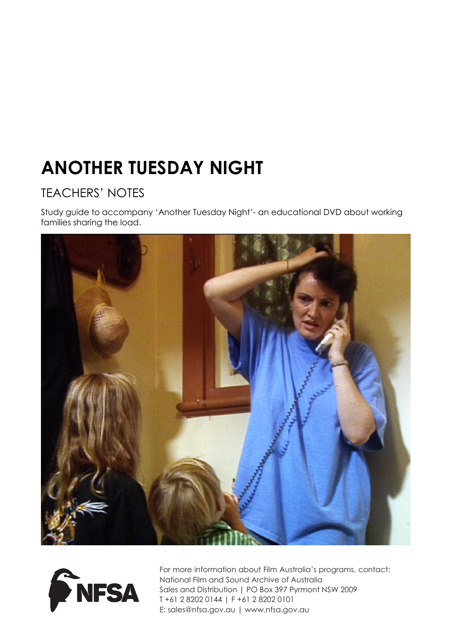# **ANOTHER TUESDAY NIGHT**

# TEACHERS' NOTES

Study guide to accompany 'Another Tuesday Night'- an educational DVD about working families sharing the load.





For more information about Film Australia's programs, contact: National Film and Sound Archive of Australia Sales and Distribution | PO Box 397 Pyrmont NSW 2009 T +61 2 8202 0144 | F +61 2 8202 0101 E: sales@nfsa.gov.au | www.nfsa.gov.au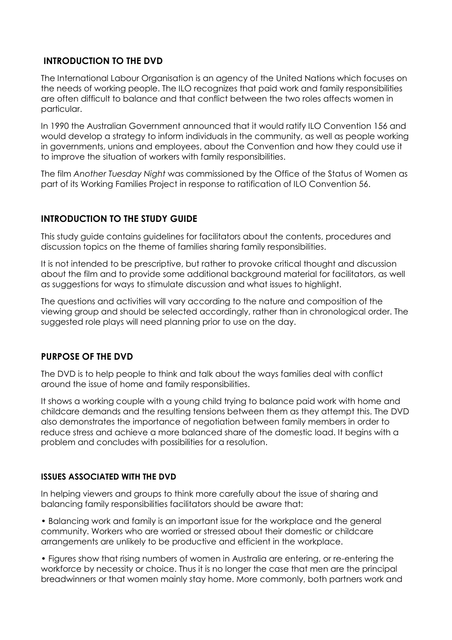# **INTRODUCTION TO THE DVD**

The International Labour Organisation is an agency of the United Nations which focuses on the needs of working people. The ILO recognizes that paid work and family responsibilities are often difficult to balance and that conflict between the two roles affects women in particular.

In 1990 the Australian Government announced that it would ratify ILO Convention 156 and would develop a strategy to inform individuals in the community, as well as people working in governments, unions and employees, about the Convention and how they could use it to improve the situation of workers with family responsibilities.

The film *Another Tuesday Night* was commissioned by the Office of the Status of Women as part of its Working Families Project in response to ratification of ILO Convention 56.

# **INTRODUCTION TO THE STUDY GUIDE**

This study guide contains guidelines for facilitators about the contents, procedures and discussion topics on the theme of families sharing family responsibilities.

It is not intended to be prescriptive, but rather to provoke critical thought and discussion about the film and to provide some additional background material for facilitators, as well as suggestions for ways to stimulate discussion and what issues to highlight.

The questions and activities will vary according to the nature and composition of the viewing group and should be selected accordingly, rather than in chronological order. The suggested role plays will need planning prior to use on the day.

# **PURPOSE OF THE DVD**

The DVD is to help people to think and talk about the ways families deal with conflict around the issue of home and family responsibilities.

It shows a working couple with a young child trying to balance paid work with home and childcare demands and the resulting tensions between them as they attempt this. The DVD also demonstrates the importance of negotiation between family members in order to reduce stress and achieve a more balanced share of the domestic load. It begins with a problem and concludes with possibilities for a resolution.

# **ISSUES ASSOCIATED WITH THE DVD**

In helping viewers and groups to think more carefully about the issue of sharing and balancing family responsibilities facilitators should be aware that:

• Balancing work and family is an important issue for the workplace and the general community. Workers who are worried or stressed about their domestic or childcare arrangements are unlikely to be productive and efficient in the workplace.

• Figures show that rising numbers of women in Australia are entering, or re-entering the workforce by necessity or choice. Thus it is no longer the case that men are the principal breadwinners or that women mainly stay home. More commonly, both partners work and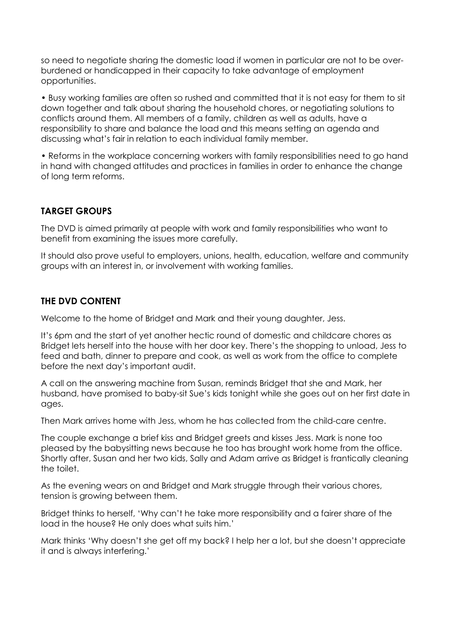so need to negotiate sharing the domestic load if women in particular are not to be overburdened or handicapped in their capacity to take advantage of employment opportunities.

• Busy working families are often so rushed and committed that it is not easy for them to sit down together and talk about sharing the household chores, or negotiating solutions to conflicts around them. All members of a family, children as well as adults, have a responsibility to share and balance the load and this means setting an agenda and discussing what's fair in relation to each individual family member.

• Reforms in the workplace concerning workers with family responsibilities need to go hand in hand with changed attitudes and practices in families in order to enhance the change of long term reforms.

# **TARGET GROUPS**

The DVD is aimed primarily at people with work and family responsibilities who want to benefit from examining the issues more carefully.

It should also prove useful to employers, unions, health, education, welfare and community groups with an interest in, or involvement with working families.

# **THE DVD CONTENT**

Welcome to the home of Bridget and Mark and their young daughter, Jess.

It's 6pm and the start of yet another hectic round of domestic and childcare chores as Bridget lets herself into the house with her door key. There's the shopping to unload, Jess to feed and bath, dinner to prepare and cook, as well as work from the office to complete before the next day's important audit.

A call on the answering machine from Susan, reminds Bridget that she and Mark, her husband, have promised to baby-sit Sue's kids tonight while she goes out on her first date in ages.

Then Mark arrives home with Jess, whom he has collected from the child-care centre.

The couple exchange a brief kiss and Bridget greets and kisses Jess. Mark is none too pleased by the babysitting news because he too has brought work home from the office. Shortly after, Susan and her two kids, Sally and Adam arrive as Bridget is frantically cleaning the toilet.

As the evening wears on and Bridget and Mark struggle through their various chores, tension is growing between them.

Bridget thinks to herself, 'Why can't he take more responsibility and a fairer share of the load in the house? He only does what suits him.'

Mark thinks 'Why doesn't she get off my back? I help her a lot, but she doesn't appreciate it and is always interfering.'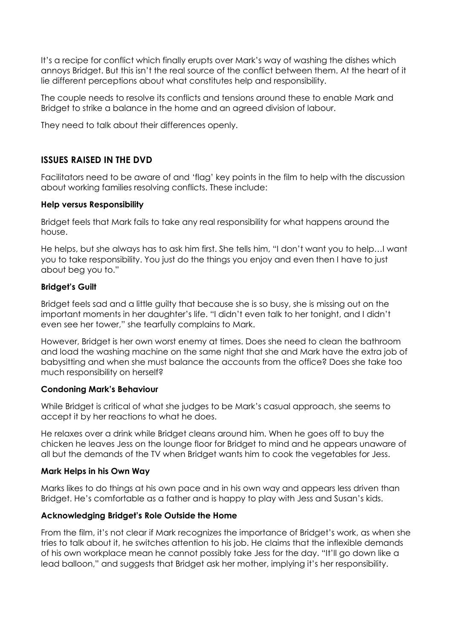It's a recipe for conflict which finally erupts over Mark's way of washing the dishes which annoys Bridget. But this isn't the real source of the conflict between them. At the heart of it lie different perceptions about what constitutes help and responsibility.

The couple needs to resolve its conflicts and tensions around these to enable Mark and Bridget to strike a balance in the home and an agreed division of labour.

They need to talk about their differences openly.

# **ISSUES RAISED IN THE DVD**

Facilitators need to be aware of and 'flag' key points in the film to help with the discussion about working families resolving conflicts. These include:

#### **Help versus Responsibility**

Bridget feels that Mark fails to take any real responsibility for what happens around the house.

He helps, but she always has to ask him first. She tells him, "I don't want you to help…I want you to take responsibility. You just do the things you enjoy and even then I have to just about beg you to."

#### **Bridget's Guilt**

Bridget feels sad and a little guilty that because she is so busy, she is missing out on the important moments in her daughter's life. "I didn't even talk to her tonight, and I didn't even see her tower," she tearfully complains to Mark.

However, Bridget is her own worst enemy at times. Does she need to clean the bathroom and load the washing machine on the same night that she and Mark have the extra job of babysitting and when she must balance the accounts from the office? Does she take too much responsibility on herself?

#### **Condoning Mark's Behaviour**

While Bridget is critical of what she judges to be Mark's casual approach, she seems to accept it by her reactions to what he does.

He relaxes over a drink while Bridget cleans around him. When he goes off to buy the chicken he leaves Jess on the lounge floor for Bridget to mind and he appears unaware of all but the demands of the TV when Bridget wants him to cook the vegetables for Jess.

#### **Mark Helps in his Own Way**

Marks likes to do things at his own pace and in his own way and appears less driven than Bridget. He's comfortable as a father and is happy to play with Jess and Susan's kids.

#### **Acknowledging Bridget's Role Outside the Home**

From the film, it's not clear if Mark recognizes the importance of Bridget's work, as when she tries to talk about it, he switches attention to his job. He claims that the inflexible demands of his own workplace mean he cannot possibly take Jess for the day. "It'll go down like a lead balloon," and suggests that Bridget ask her mother, implying it's her responsibility.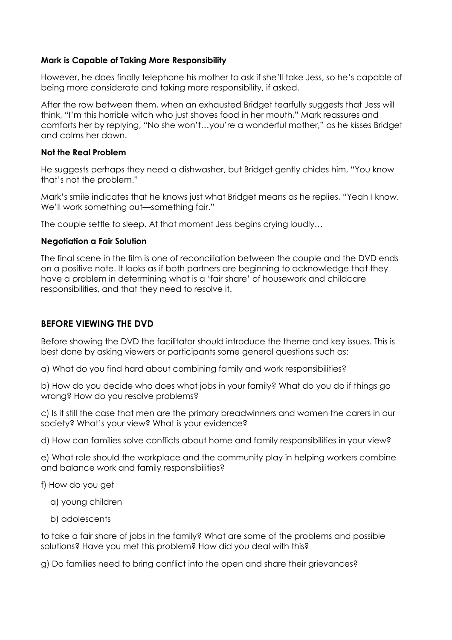#### **Mark is Capable of Taking More Responsibility**

However, he does finally telephone his mother to ask if she'll take Jess, so he's capable of being more considerate and taking more responsibility, if asked.

After the row between them, when an exhausted Bridget tearfully suggests that Jess will think, "I'm this horrible witch who just shoves food in her mouth," Mark reassures and comforts her by replying, "No she won't…you're a wonderful mother," as he kisses Bridget and calms her down.

#### **Not the Real Problem**

He suggests perhaps they need a dishwasher, but Bridget gently chides him, "You know that's not the problem."

Mark's smile indicates that he knows just what Bridget means as he replies, "Yeah I know. We'll work something out—something fair."

The couple settle to sleep. At that moment Jess begins crying loudly…

#### **Negotiation a Fair Solution**

The final scene in the film is one of reconciliation between the couple and the DVD ends on a positive note. It looks as if both partners are beginning to acknowledge that they have a problem in determining what is a 'fair share' of housework and childcare responsibilities, and that they need to resolve it.

# **BEFORE VIEWING THE DVD**

Before showing the DVD the facilitator should introduce the theme and key issues. This is best done by asking viewers or participants some general questions such as:

a) What do you find hard about combining family and work responsibilities?

b) How do you decide who does what jobs in your family? What do you do if things go wrong? How do you resolve problems?

c) Is it still the case that men are the primary breadwinners and women the carers in our society? What's your view? What is your evidence?

d) How can families solve conflicts about home and family responsibilities in your view?

e) What role should the workplace and the community play in helping workers combine and balance work and family responsibilities?

f) How do you get

- a) young children
- b) adolescents

to take a fair share of jobs in the family? What are some of the problems and possible solutions? Have you met this problem? How did you deal with this?

g) Do families need to bring conflict into the open and share their grievances?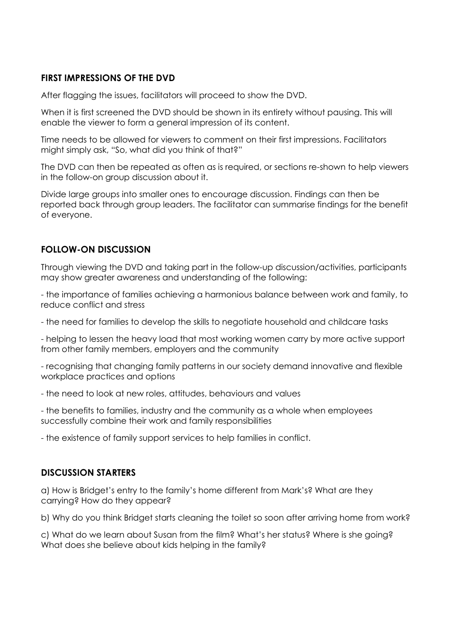## **FIRST IMPRESSIONS OF THE DVD**

After flagging the issues, facilitators will proceed to show the DVD.

When it is first screened the DVD should be shown in its entirety without pausing. This will enable the viewer to form a general impression of its content.

Time needs to be allowed for viewers to comment on their first impressions. Facilitators might simply ask, "So, what did you think of that?"

The DVD can then be repeated as often as is required, or sections re-shown to help viewers in the follow-on group discussion about it.

Divide large groups into smaller ones to encourage discussion. Findings can then be reported back through group leaders. The facilitator can summarise findings for the benefit of everyone.

# **FOLLOW-ON DISCUSSION**

Through viewing the DVD and taking part in the follow-up discussion/activities, participants may show greater awareness and understanding of the following:

- the importance of families achieving a harmonious balance between work and family, to reduce conflict and stress

- the need for families to develop the skills to negotiate household and childcare tasks

- helping to lessen the heavy load that most working women carry by more active support from other family members, employers and the community

- recognising that changing family patterns in our society demand innovative and flexible workplace practices and options

- the need to look at new roles, attitudes, behaviours and values

- the benefits to families, industry and the community as a whole when employees successfully combine their work and family responsibilities

- the existence of family support services to help families in conflict.

#### **DISCUSSION STARTERS**

a) How is Bridget's entry to the family's home different from Mark's? What are they carrying? How do they appear?

b) Why do you think Bridget starts cleaning the toilet so soon after arriving home from work?

c) What do we learn about Susan from the film? What's her status? Where is she going? What does she believe about kids helping in the family?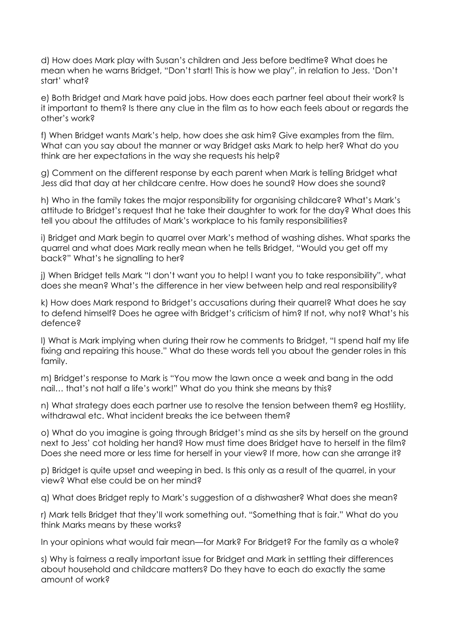d) How does Mark play with Susan's children and Jess before bedtime? What does he mean when he warns Bridget, "Don't start! This is how we play", in relation to Jess. 'Don't start' what?

e) Both Bridget and Mark have paid jobs. How does each partner feel about their work? Is it important to them? Is there any clue in the film as to how each feels about or regards the other's work?

f) When Bridget wants Mark's help, how does she ask him? Give examples from the film. What can you say about the manner or way Bridget asks Mark to help her? What do you think are her expectations in the way she requests his help?

g) Comment on the different response by each parent when Mark is telling Bridget what Jess did that day at her childcare centre. How does he sound? How does she sound?

h) Who in the family takes the major responsibility for organising childcare? What's Mark's attitude to Bridget's request that he take their daughter to work for the day? What does this tell you about the attitudes of Mark's workplace to his family responsibilities?

i) Bridget and Mark begin to quarrel over Mark's method of washing dishes. What sparks the quarrel and what does Mark really mean when he tells Bridget, "Would you get off my back?" What's he signalling to her?

j) When Bridget tells Mark "I don't want you to help! I want you to take responsibility", what does she mean? What's the difference in her view between help and real responsibility?

k) How does Mark respond to Bridget's accusations during their quarrel? What does he say to defend himself? Does he agree with Bridget's criticism of him? If not, why not? What's his defence?

l) What is Mark implying when during their row he comments to Bridget, "I spend half my life fixing and repairing this house." What do these words tell you about the gender roles in this family.

m) Bridget's response to Mark is "You mow the lawn once a week and bang in the odd nail… that's not half a life's work!" What do you think she means by this?

n) What strategy does each partner use to resolve the tension between them? eg Hostility, withdrawal etc. What incident breaks the ice between them?

o) What do you imagine is going through Bridget's mind as she sits by herself on the ground next to Jess' cot holding her hand? How must time does Bridget have to herself in the film? Does she need more or less time for herself in your view? If more, how can she arrange it?

p) Bridget is quite upset and weeping in bed. Is this only as a result of the quarrel, in your view? What else could be on her mind?

q) What does Bridget reply to Mark's suggestion of a dishwasher? What does she mean?

r) Mark tells Bridget that they'll work something out. "Something that is fair." What do you think Marks means by these works?

In your opinions what would fair mean—for Mark? For Bridget? For the family as a whole?

s) Why is fairness a really important issue for Bridget and Mark in settling their differences about household and childcare matters? Do they have to each do exactly the same amount of work?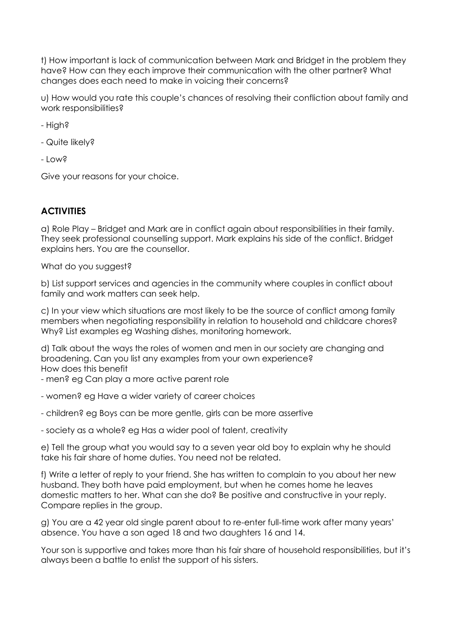t) How important is lack of communication between Mark and Bridget in the problem they have? How can they each improve their communication with the other partner? What changes does each need to make in voicing their concerns?

u) How would you rate this couple's chances of resolving their confliction about family and work responsibilities?

- High?

- Quite likely?

- Low?

Give your reasons for your choice.

### **ACTIVITIES**

a) Role Play – Bridget and Mark are in conflict again about responsibilities in their family. They seek professional counselling support. Mark explains his side of the conflict. Bridget explains hers. You are the counsellor.

What do you suggest?

b) List support services and agencies in the community where couples in conflict about family and work matters can seek help.

c) In your view which situations are most likely to be the source of conflict among family members when negotiating responsibility in relation to household and childcare chores? Why? List examples eg Washing dishes, monitoring homework.

d) Talk about the ways the roles of women and men in our society are changing and broadening. Can you list any examples from your own experience? How does this benefit

- men? eg Can play a more active parent role
- women? eg Have a wider variety of career choices
- children? eg Boys can be more gentle, girls can be more assertive

- society as a whole? eg Has a wider pool of talent, creativity

e) Tell the group what you would say to a seven year old boy to explain why he should take his fair share of home duties. You need not be related.

f) Write a letter of reply to your friend. She has written to complain to you about her new husband. They both have paid employment, but when he comes home he leaves domestic matters to her. What can she do? Be positive and constructive in your reply. Compare replies in the group.

g) You are a 42 year old single parent about to re-enter full-time work after many years' absence. You have a son aged 18 and two daughters 16 and 14.

Your son is supportive and takes more than his fair share of household responsibilities, but it's always been a battle to enlist the support of his sisters.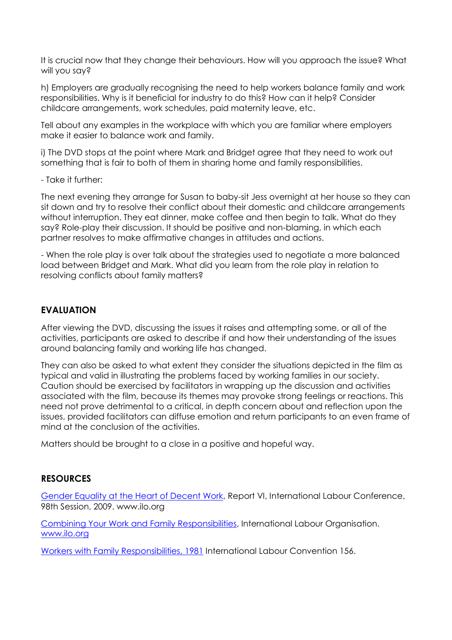It is crucial now that they change their behaviours. How will you approach the issue? What will you say?

h) Employers are gradually recognising the need to help workers balance family and work responsibilities. Why is it beneficial for industry to do this? How can it help? Consider childcare arrangements, work schedules, paid maternity leave, etc.

Tell about any examples in the workplace with which you are familiar where employers make it easier to balance work and family.

i) The DVD stops at the point where Mark and Bridget agree that they need to work out something that is fair to both of them in sharing home and family responsibilities.

- Take it further:

The next evening they arrange for Susan to baby-sit Jess overnight at her house so they can sit down and try to resolve their conflict about their domestic and childcare arrangements without interruption. They eat dinner, make coffee and then begin to talk. What do they say? Role-play their discussion. It should be positive and non-blaming, in which each partner resolves to make affirmative changes in attitudes and actions.

- When the role play is over talk about the strategies used to negotiate a more balanced load between Bridget and Mark. What did you learn from the role play in relation to resolving conflicts about family matters?

# **EVALUATION**

After viewing the DVD, discussing the issues it raises and attempting some, or all of the activities, participants are asked to describe if and how their understanding of the issues around balancing family and working life has changed.

They can also be asked to what extent they consider the situations depicted in the film as typical and valid in illustrating the problems faced by working families in our society. Caution should be exercised by facilitators in wrapping up the discussion and activities associated with the film, because its themes may provoke strong feelings or reactions. This need not prove detrimental to a critical, in depth concern about and reflection upon the issues, provided facilitators can diffuse emotion and return participants to an even frame of mind at the conclusion of the activities.

Matters should be brought to a close in a positive and hopeful way.

# **RESOURCES**

[Gender Equality at the Heart of Decent Work,](http://www.ilo.org/wcmsp5/groups/public/---ed_norm/---relconf/documents/meetingdocument/wcms_105119.pdf) Report VI, International Labour Conference, 98th Session, 2009. www.ilo.org

[Combining Your Work and Family Responsibilities,](http://www.ilo.org/public/english/region/eurpro/moscow/info/publ/work_and_family.pdf) International Labour Organisation. [www.ilo.org](http://www.ilo.org/)

[Workers with Family Responsibilities, 1981](http://www.safework.sa.gov.au/uploaded_files/C156.pdf) International Labour Convention 156.